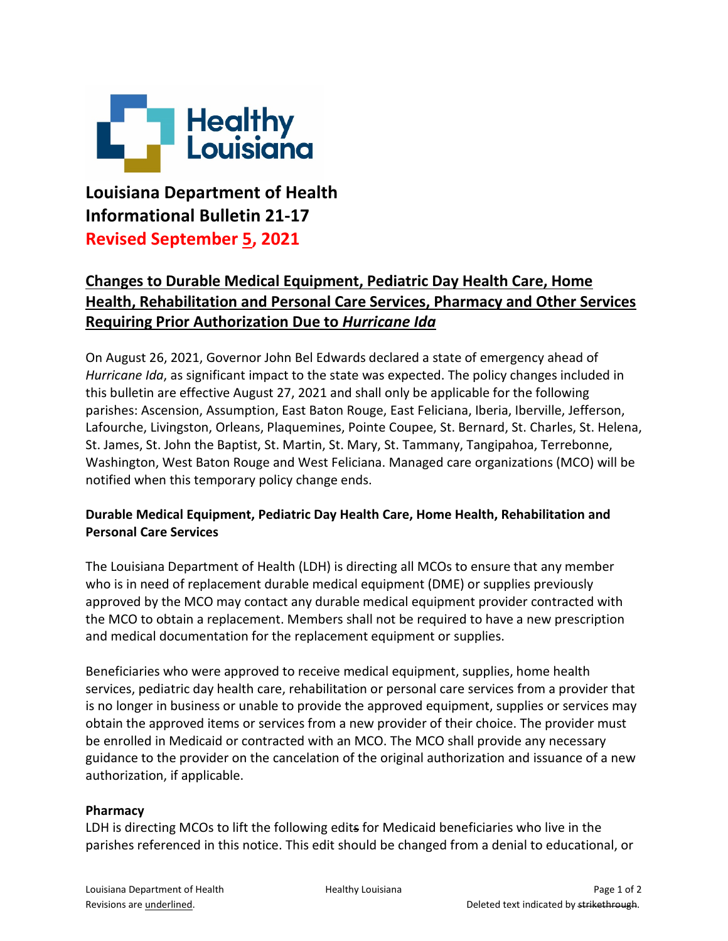

**Louisiana Department of Health Informational Bulletin 21-17 Revised September 5, 2021**

## **Changes to Durable Medical Equipment, Pediatric Day Health Care, Home Health, Rehabilitation and Personal Care Services, Pharmacy and Other Services Requiring Prior Authorization Due to** *Hurricane Ida*

On August 26, 2021, Governor John Bel Edwards declared a state of emergency ahead of *Hurricane Ida*, as significant impact to the state was expected. The policy changes included in this bulletin are effective August 27, 2021 and shall only be applicable for the following parishes: Ascension, Assumption, East Baton Rouge, East Feliciana, Iberia, Iberville, Jefferson, Lafourche, Livingston, Orleans, Plaquemines, Pointe Coupee, St. Bernard, St. Charles, St. Helena, St. James, St. John the Baptist, St. Martin, St. Mary, St. Tammany, Tangipahoa, Terrebonne, Washington, West Baton Rouge and West Feliciana. Managed care organizations (MCO) will be notified when this temporary policy change ends.

## **Durable Medical Equipment, Pediatric Day Health Care, Home Health, Rehabilitation and Personal Care Services**

The Louisiana Department of Health (LDH) is directing all MCOs to ensure that any member who is in need of replacement durable medical equipment (DME) or supplies previously approved by the MCO may contact any durable medical equipment provider contracted with the MCO to obtain a replacement. Members shall not be required to have a new prescription and medical documentation for the replacement equipment or supplies.

Beneficiaries who were approved to receive medical equipment, supplies, home health services, pediatric day health care, rehabilitation or personal care services from a provider that is no longer in business or unable to provide the approved equipment, supplies or services may obtain the approved items or services from a new provider of their choice. The provider must be enrolled in Medicaid or contracted with an MCO. The MCO shall provide any necessary guidance to the provider on the cancelation of the original authorization and issuance of a new authorization, if applicable.

## **Pharmacy**

LDH is directing MCOs to lift the following edits for Medicaid beneficiaries who live in the parishes referenced in this notice. This edit should be changed from a denial to educational, or